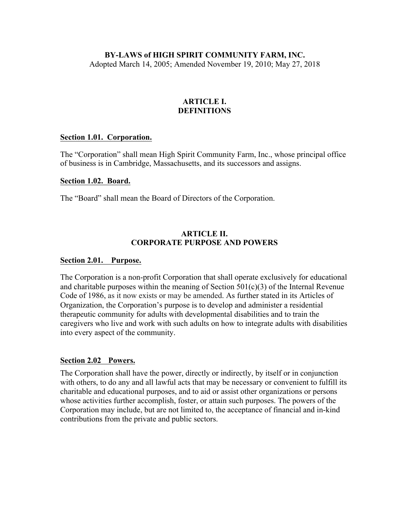# **BY-LAWS of HIGH SPIRIT COMMUNITY FARM, INC.**

Adopted March 14, 2005; Amended November 19, 2010; May 27, 2018

### **ARTICLE I. DEFINITIONS**

### **Section 1.01. Corporation.**

The "Corporation" shall mean High Spirit Community Farm, Inc., whose principal office of business is in Cambridge, Massachusetts, and its successors and assigns.

#### **Section 1.02. Board.**

The "Board" shall mean the Board of Directors of the Corporation.

### **ARTICLE II. CORPORATE PURPOSE AND POWERS**

#### **Section 2.01. Purpose.**

The Corporation is a non-profit Corporation that shall operate exclusively for educational and charitable purposes within the meaning of Section  $501(c)(3)$  of the Internal Revenue Code of 1986, as it now exists or may be amended. As further stated in its Articles of Organization, the Corporation's purpose is to develop and administer a residential therapeutic community for adults with developmental disabilities and to train the caregivers who live and work with such adults on how to integrate adults with disabilities into every aspect of the community.

### **Section 2.02 Powers.**

The Corporation shall have the power, directly or indirectly, by itself or in conjunction with others, to do any and all lawful acts that may be necessary or convenient to fulfill its charitable and educational purposes, and to aid or assist other organizations or persons whose activities further accomplish, foster, or attain such purposes. The powers of the Corporation may include, but are not limited to, the acceptance of financial and in-kind contributions from the private and public sectors.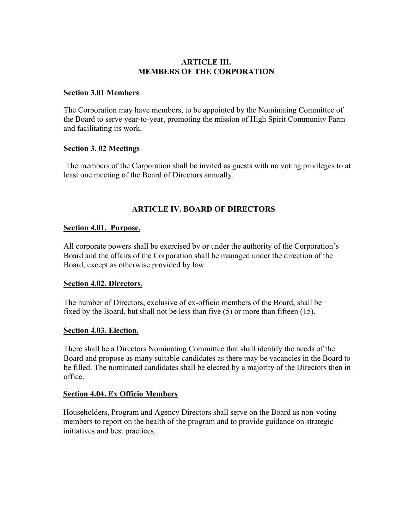### **ARTICLE III. MEMBERS OF THE CORPORATION**

#### **Section 3.01 Members**

The Corporation may have members, to be appointed by the Nominating Committee of the Board to serve year-to-year, promoting the mission of High Spirit Community Farm and facilitating its work.

### **Section 3. 02 Meetings**

The members of the Corporation shall be invited as guests with no voting privileges to at least one meeting of the Board of Directors annually.

# **ARTICLE IV. BOARD OF DIRECTORS**

### **Section 4.01. Purpose.**

All corporate powers shall be exercised by or under the authority of the Corporation's Board and the affairs of the Corporation shall be managed under the direction of the Board, except as otherwise provided by law.

### **Section 4.02. Directors.**

The number of Directors, exclusive of ex-officio members of the Board, shall be fixed by the Board, but shall not be less than five (5) or more than fifteen (15).

### **Section 4.03. Election.**

There shall be a Directors Nominating Committee that shall identify the needs of the Board and propose as many suitable candidates as there may be vacancies in the Board to be filled. The nominated candidates shall be elected by a majority of the Directors then in office.

### **Section 4.04. Ex Officio Members**

Householders, Program and Agency Directors shall serve on the Board as non-voting members to report on the health of the program and to provide guidance on strategic initiatives and best practices.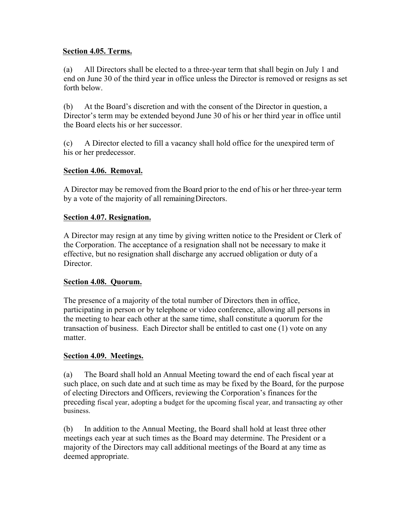### **Section 4.05. Terms.**

(a) All Directors shall be elected to a three-year term that shall begin on July 1 and end on June 30 of the third year in office unless the Director is removed or resigns as set forth below.

(b) At the Board's discretion and with the consent of the Director in question, a Director's term may be extended beyond June 30 of his or her third year in office until the Board elects his or her successor.

(c) A Director elected to fill a vacancy shall hold office for the unexpired term of his or her predecessor.

# **Section 4.06. Removal.**

A Director may be removed from the Board prior to the end of his or her three-year term by a vote of the majority of all remainingDirectors.

### **Section 4.07. Resignation.**

A Director may resign at any time by giving written notice to the President or Clerk of the Corporation. The acceptance of a resignation shall not be necessary to make it effective, but no resignation shall discharge any accrued obligation or duty of a **Director** 

### **Section 4.08. Quorum.**

The presence of a majority of the total number of Directors then in office, participating in person or by telephone or video conference, allowing all persons in the meeting to hear each other at the same time, shall constitute a quorum for the transaction of business. Each Director shall be entitled to cast one (1) vote on any matter

# **Section 4.09. Meetings.**

(a) The Board shall hold an Annual Meeting toward the end of each fiscal year at such place, on such date and at such time as may be fixed by the Board, for the purpose of electing Directors and Officers, reviewing the Corporation's finances for the preceding fiscal year, adopting a budget for the upcoming fiscal year, and transacting ay other business.

(b) In addition to the Annual Meeting, the Board shall hold at least three other meetings each year at such times as the Board may determine. The President or a majority of the Directors may call additional meetings of the Board at any time as deemed appropriate.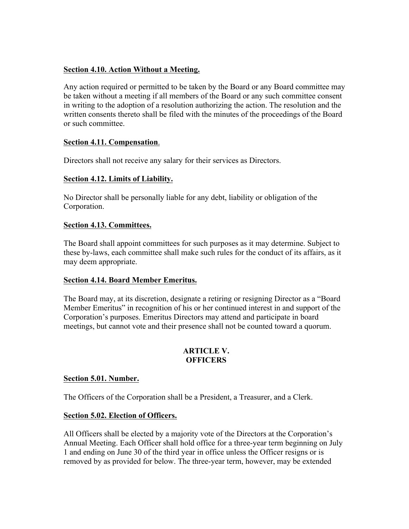# **Section 4.10. Action Without a Meeting.**

Any action required or permitted to be taken by the Board or any Board committee may be taken without a meeting if all members of the Board or any such committee consent in writing to the adoption of a resolution authorizing the action. The resolution and the written consents thereto shall be filed with the minutes of the proceedings of the Board or such committee.

# **Section 4.11. Compensation**.

Directors shall not receive any salary for their services as Directors.

# **Section 4.12. Limits of Liability.**

No Director shall be personally liable for any debt, liability or obligation of the Corporation.

### **Section 4.13. Committees.**

The Board shall appoint committees for such purposes as it may determine. Subject to these by-laws, each committee shall make such rules for the conduct of its affairs, as it may deem appropriate.

### **Section 4.14. Board Member Emeritus.**

The Board may, at its discretion, designate a retiring or resigning Director as a "Board Member Emeritus" in recognition of his or her continued interest in and support of the Corporation's purposes. Emeritus Directors may attend and participate in board meetings, but cannot vote and their presence shall not be counted toward a quorum.

### **ARTICLE V. OFFICERS**

# **Section 5.01. Number.**

The Officers of the Corporation shall be a President, a Treasurer, and a Clerk.

# **Section 5.02. Election of Officers.**

All Officers shall be elected by a majority vote of the Directors at the Corporation's Annual Meeting. Each Officer shall hold office for a three-year term beginning on July 1 and ending on June 30 of the third year in office unless the Officer resigns or is removed by as provided for below. The three-year term, however, may be extended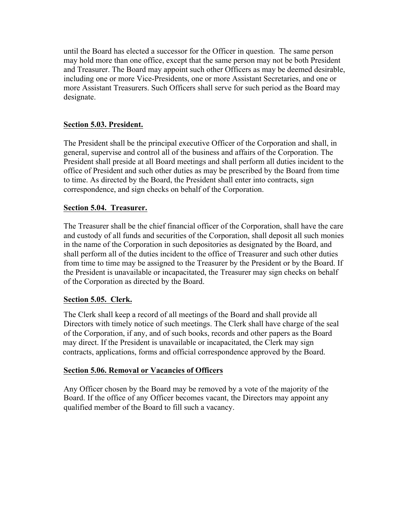until the Board has elected a successor for the Officer in question. The same person may hold more than one office, except that the same person may not be both President and Treasurer. The Board may appoint such other Officers as may be deemed desirable, including one or more Vice-Presidents, one or more Assistant Secretaries, and one or more Assistant Treasurers. Such Officers shall serve for such period as the Board may designate.

# **Section 5.03. President.**

The President shall be the principal executive Officer of the Corporation and shall, in general, supervise and control all of the business and affairs of the Corporation. The President shall preside at all Board meetings and shall perform all duties incident to the office of President and such other duties as may be prescribed by the Board from time to time. As directed by the Board, the President shall enter into contracts, sign correspondence, and sign checks on behalf of the Corporation.

# **Section 5.04. Treasurer.**

The Treasurer shall be the chief financial officer of the Corporation, shall have the care and custody of all funds and securities of the Corporation, shall deposit all such monies in the name of the Corporation in such depositories as designated by the Board, and shall perform all of the duties incident to the office of Treasurer and such other duties from time to time may be assigned to the Treasurer by the President or by the Board. If the President is unavailable or incapacitated, the Treasurer may sign checks on behalf of the Corporation as directed by the Board.

# **Section 5.05. Clerk.**

The Clerk shall keep a record of all meetings of the Board and shall provide all Directors with timely notice of such meetings. The Clerk shall have charge of the seal of the Corporation, if any, and of such books, records and other papers as the Board may direct. If the President is unavailable or incapacitated, the Clerk may sign contracts, applications, forms and official correspondence approved by the Board.

# **Section 5.06. Removal or Vacancies of Officers**

Any Officer chosen by the Board may be removed by a vote of the majority of the Board. If the office of any Officer becomes vacant, the Directors may appoint any qualified member of the Board to fill such a vacancy.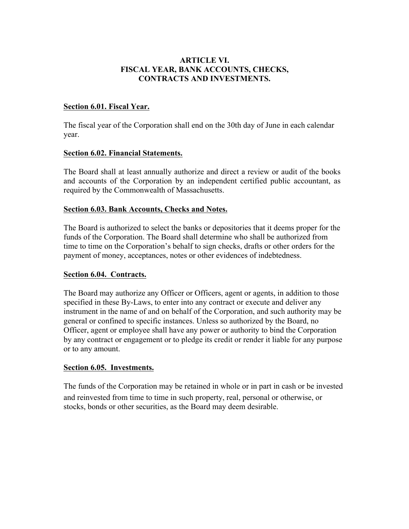### **ARTICLE VI. FISCAL YEAR, BANK ACCOUNTS, CHECKS, CONTRACTS AND INVESTMENTS.**

### **Section 6.01. Fiscal Year.**

The fiscal year of the Corporation shall end on the 30th day of June in each calendar year.

### **Section 6.02. Financial Statements.**

The Board shall at least annually authorize and direct a review or audit of the books and accounts of the Corporation by an independent certified public accountant, as required by the Commonwealth of Massachusetts.

### **Section 6.03. Bank Accounts, Checks and Notes.**

The Board is authorized to select the banks or depositories that it deems proper for the funds of the Corporation. The Board shall determine who shall be authorized from time to time on the Corporation's behalf to sign checks, drafts or other orders for the payment of money, acceptances, notes or other evidences of indebtedness.

### **Section 6.04. Contracts.**

The Board may authorize any Officer or Officers, agent or agents, in addition to those specified in these By-Laws, to enter into any contract or execute and deliver any instrument in the name of and on behalf of the Corporation, and such authority may be general or confined to specific instances. Unless so authorized by the Board, no Officer, agent or employee shall have any power or authority to bind the Corporation by any contract or engagement or to pledge its credit or render it liable for any purpose or to any amount.

### **Section 6.05. Investments.**

The funds of the Corporation may be retained in whole or in part in cash or be invested and reinvested from time to time in such property, real, personal or otherwise, or stocks, bonds or other securities, as the Board may deem desirable.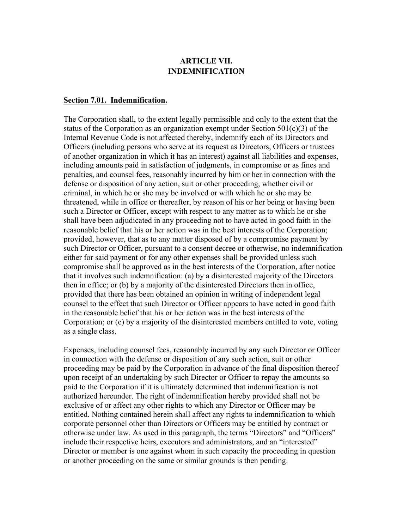# **ARTICLE VII. INDEMNIFICATION**

#### **Section 7.01. Indemnification.**

The Corporation shall, to the extent legally permissible and only to the extent that the status of the Corporation as an organization exempt under Section 501(c)(3) of the Internal Revenue Code is not affected thereby, indemnify each of its Directors and Officers (including persons who serve at its request as Directors, Officers or trustees of another organization in which it has an interest) against all liabilities and expenses, including amounts paid in satisfaction of judgments, in compromise or as fines and penalties, and counsel fees, reasonably incurred by him or her in connection with the defense or disposition of any action, suit or other proceeding, whether civil or criminal, in which he or she may be involved or with which he or she may be threatened, while in office or thereafter, by reason of his or her being or having been such a Director or Officer, except with respect to any matter as to which he or she shall have been adjudicated in any proceeding not to have acted in good faith in the reasonable belief that his or her action was in the best interests of the Corporation; provided, however, that as to any matter disposed of by a compromise payment by such Director or Officer, pursuant to a consent decree or otherwise, no indemnification either for said payment or for any other expenses shall be provided unless such compromise shall be approved as in the best interests of the Corporation, after notice that it involves such indemnification: (a) by a disinterested majority of the Directors then in office; or (b) by a majority of the disinterested Directors then in office, provided that there has been obtained an opinion in writing of independent legal counsel to the effect that such Director or Officer appears to have acted in good faith in the reasonable belief that his or her action was in the best interests of the Corporation; or (c) by a majority of the disinterested members entitled to vote, voting as a single class.

Expenses, including counsel fees, reasonably incurred by any such Director or Officer in connection with the defense or disposition of any such action, suit or other proceeding may be paid by the Corporation in advance of the final disposition thereof upon receipt of an undertaking by such Director or Officer to repay the amounts so paid to the Corporation if it is ultimately determined that indemnification is not authorized hereunder. The right of indemnification hereby provided shall not be exclusive of or affect any other rights to which any Director or Officer may be entitled. Nothing contained herein shall affect any rights to indemnification to which corporate personnel other than Directors or Officers may be entitled by contract or otherwise under law. As used in this paragraph, the terms "Directors" and "Officers" include their respective heirs, executors and administrators, and an "interested" Director or member is one against whom in such capacity the proceeding in question or another proceeding on the same or similar grounds is then pending.